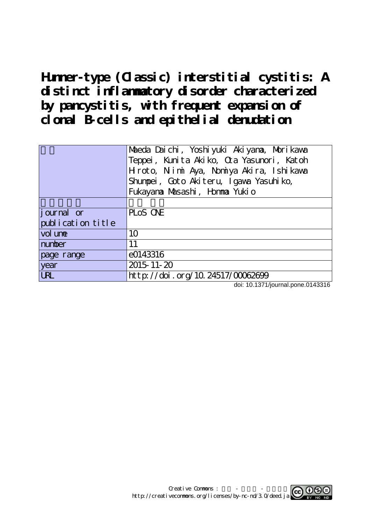**Hunner-type (Classic) interstitial cystitis: A distinct inflammatory disorder characterized by pancystitis, with frequent expansion of clonal B-cells and epithelial denudation**

|                    | Maeda Daichi, Yoshiyuki Akiyana, Morikawa<br>Teppei, Kunita Akiko, Cta Yasunori, Katoh<br>Hiroto, Nimi Aya, Nomiya Akira, Ishikawa<br>Shumpei, Goto Akiteru, Igawa Yasuhiko,<br>Fukayana Masashi, Homma Yukio |
|--------------------|---------------------------------------------------------------------------------------------------------------------------------------------------------------------------------------------------------------|
|                    |                                                                                                                                                                                                               |
| <i>j</i> ournal or | PLOS ONE                                                                                                                                                                                                      |
| publication title  |                                                                                                                                                                                                               |
| vol une            | 10                                                                                                                                                                                                            |
| number             | 11                                                                                                                                                                                                            |
| page range         | e0143316                                                                                                                                                                                                      |
| year               | 2015-11-20                                                                                                                                                                                                    |
| <b>URL</b>         | http://doi.org/10.24517/00062699                                                                                                                                                                              |

doi: 10.1371/journal.pone.0143316

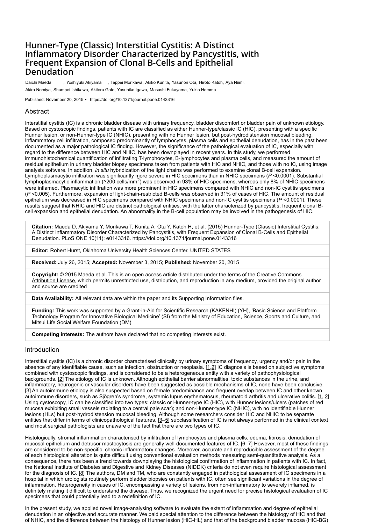# **Hunner-Type (Classic) Interstitial Cystitis: A Distinct Inflammatory Disorder Characterized by Pancystitis, with Frequent Expansion of Clonal B-Cells and Epithelial Denudation**

Daichi Maeda , Yoshiyuki Akiyama , Teppei Morikawa, Akiko Kunita, Yasunori Ota, Hiroto Katoh, Aya Niimi, Akira Nomiya, Shumpei Ishikawa, Akiteru Goto, Yasuhiko Igawa, Masashi Fukayama, Yukio Homma

Published: November 20, 2015 • <https://doi.org/10.1371/journal.pone.0143316>

# Abstract

Interstitial cystitis (IC) is a chronic bladder disease with urinary frequency, bladder discomfort or bladder pain of unknown etiology. Based on cystoscopic findings, patients with IC are classified as either Hunner-type/classic IC (HIC), presenting with a specific Hunner lesion, or non-Hunner-type IC (NHIC), presenting with no Hunner lesion, but post-hydrodistension mucosal bleeding. Inflammatory cell infiltration, composed predominantly of lymphocytes, plasma cells and epithelial denudation, has in the past been documented as a major pathological IC finding. However, the significance of the pathological evaluation of IC, especially with regard to the difference between HIC and NHIC, has been downplayed in recent years. In this study, we performed immunohistochemical quantification of infiltrating T-lymphocytes, B-lymphocytes and plasma cells, and measured the amount of residual epithelium in urinary bladder biopsy specimens taken from patients with HIC and NHIC, and those with no IC, using image analysis software. In addition, *in situ* hybridization of the light chains was performed to examine clonal B-cell expansion. Lymphoplasmacytic infiltration was significantly more severe in HIC specimens than in NHIC specimens (*P* <0.0001). Substantial lymphoplasmacytic inflammation (≥200 cells/mm<sup>2</sup>) was observed in 93% of HIC specimens, whereas only 8% of NHIC specimens were inflamed. Plasmacytic infiltration was more prominent in HIC specimens compared with NHIC and non-IC cystitis specimens (*P* <0.005). Furthermore, expansion of light-chain-restricted B-cells was observed in 31% of cases of HIC. The amount of residual epithelium was decreased in HIC specimens compared with NHIC specimens and non-IC cystitis specimens (*P* <0.0001). These results suggest that NHIC and HIC are distinct pathological entities, with the latter characterized by pancystitis, frequent clonal Bcell expansion and epithelial denudation. An abnormality in the B-cell population may be involved in the pathogenesis of HIC.

**Citation:** Maeda D, Akiyama Y, Morikawa T, Kunita A, Ota Y, Katoh H, et al. (2015) Hunner-Type (Classic) Interstitial Cystitis: A Distinct Inflammatory Disorder Characterized by Pancystitis, with Frequent Expansion of Clonal B-Cells and Epithelial Denudation. PLoS ONE 10(11): e0143316. https://doi.org/10.1371/journal.pone.0143316

**Editor:** Robert Hurst, Oklahoma University Health Sciences Center, UNITED STATES

**Received:** July 26, 2015; **Accepted:** November 3, 2015; **Published:** November 20, 2015

**Copyright:** © 2015 Maeda et al. This is an open access article distributed under the terms of the Creative Commons [Attribution License, which permits unrestricted use, distribution, and reproduction in any medium, provided the origina](http://creativecommons.org/licenses/by/4.0/)l author and source are credited

**Data Availability:** All relevant data are within the paper and its Supporting Information files.

**Funding:** This work was supported by a Grant-in-Aid for Scientific Research (KAKENHI) (YH), 'Basic Science and Platform Technology Program for Innovative Biological Medicine' (SI) from the Ministry of Education, Science, Sports and Culture, and Mitsui Life Social Welfare Foundation (DM).

**Competing interests:** The authors have declared that no competing interests exist.

# Introduction

Interstitial cystitis (IC) is a chronic disorder characterised clinically by urinary symptoms of frequency, urgency and/or pain in the absence of any identifiable cause, such as infection, obstruction or neoplasia. [\[1](#page-6-0),[2\]](#page-6-1) IC diagnosis is based on subjective symptoms combined with cystoscopic findings, and is considered to be a heterogeneous entity with a variety of pathophysiological backgrounds. [\[2\]](#page-6-1) The etiology of IC is unknown. Although epithelial barrier abnormalities, toxic substances in the urine, and inflammatory, neurogenic or vascular disorders have been suggested as possible mechanisms of IC, none have been conclusive. [[3](#page-6-2)] An autoimmune etiology is also suspected based on female predominance and frequent overlap between IC and other known autoimmune disorders, such as Sjögren's syndrome, systemic lupus erythematosus, rheumatoid arthritis and ulcerative colitis. [[1,](#page-6-0) [2](#page-6-1)] Using cystoscopy, IC can be classified into two types: classic or Hunner-type IC (HIC), with Hunner lesions/ulcers (patches of red mucosa exhibiting small vessels radiating to a central pale scar); and non-Hunner-type IC (NHIC), with no identifiable Hunner lesions (HLs) but post-hydrodistension mucosal bleeding. Although some researchers consider HIC and NHIC to be separate entities that differ in terms of clinicopathological features, [[3](#page-6-2)[–5\]](#page-6-3) subclassification of IC is not always performed in the clinical context and most surgical pathologists are unaware of the fact that there are two types of IC.

Histologically, stromal inflammation characterised by infiltration of lymphocytes and plasma cells, edema, fibrosis, denudation of mucosal epithelium and detrusor mastocytosis are generally well-documented features of IC. [[6,](#page-6-4) [7](#page-6-5)] However, most of these findings are considered to be non-specific, chronic inflammatory changes. Moreover, accurate and reproducible assessment of the degree of each histological alteration is quite difficult using conventional evaluation methods measuring semi-quantitative analysis. As a consequence, there has been a trend towards downplaying the histological confirmation of inflammation in patients with IC. In fact, the National Institute of Diabetes and Digestive and Kidney Diseases (NIDDK) criteria do not even require histological assessment for the diagnosis of IC. [[8](#page-6-6)] The authors, DM and TM, who are constantly engaged in pathological assessment of IC specimens in a hospital in which urologists routinely perform bladder biopsies on patients with IC, often see significant variations in the degree of inflammation. Heterogeneity in cases of IC, encompassing a variety of lesions, from non-inflammatory to severely inflamed, is definitely making it difficult to understand the disease. Thus, we recognized the urgent need for precise histological evaluation of IC specimens that could potentially lead to a redefinition of IC.

In the present study, we applied novel image-analysing software to evaluate the extent of inflammation and degree of epithelial denudation in an objective and accurate manner. We paid special attention to the difference between the histology of HIC and that of NHIC, and the difference between the histology of Hunner lesion (HIC-HL) and that of the background bladder mucosa (HIC-BG)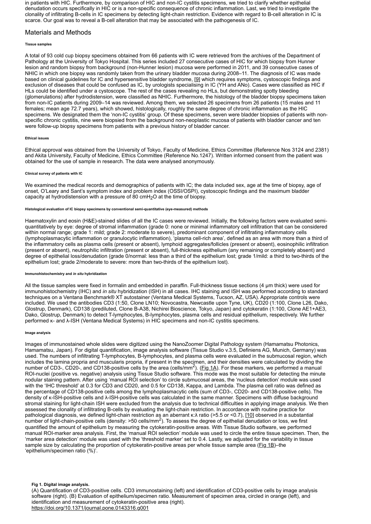in patients with HIC. Furthermore, by comparison of HIC and non-IC cystitis specimens, we tried to clarify whether epithelial denudation occurs specifically in HIC or is a non-specific consequence of chronic inflammation. Last, we tried to investigate the clonality of infiltrating B-cells in IC specimens by detecting light-chain restriction. Evidence with regard to B-cell alteration in IC is scarce. Our goal was to reveal a B-cell alteration that may be associated with the pathogenesis of IC.

# Materials and Methods

#### **Tissue samples**

A total of 93 cold cup biopsy specimens obtained from 66 patients with IC were retrieved from the archives of the Department of Pathology at the University of Tokyo Hospital. This series included 27 consecutive cases of HIC for which biopsy from Hunner lesion and random biopsy from background (non-Hunner lesion) mucosa were performed in 2011, and 39 consecutive cases of NHIC in which one biopsy was randomly taken from the urinary bladder mucosa during 2008–11. The diagnosis of IC was made based on clinical guidelines for IC and hypersensitive bladder syndrome, [[9](#page-6-7)] which requires symptoms, cystoscopic findings and exclusion of diseases that could be confused as IC, by urologists specialising in IC (YH and ANo). Cases were classified as HIC if HLs could be identified under a cystoscope. The rest of the cases revealing no HLs, but demonstrating spotty bleeding (glomerulations) after hydrodistension, were classified as NHIC. Furthermore, the histology of the bladder biopsy specimens taken from non-IC patients during 2009–14 was reviewed. Among them, we selected 26 specimens from 26 patients (15 males and 11 females; mean age 72.7 years), which showed, histologically, roughly the same degree of chronic inflammation as the HIC specimens. We designated them the 'non-IC cystitis' group. Of these specimens, seven were bladder biopsies of patients with nonspecific chronic cystitis, nine were biopsied from the background non-neoplastic mucosa of patients with bladder cancer and ten were follow-up biopsy specimens from patients with a previous history of bladder cancer.

#### **Ethical issues**

Ethical approval was obtained from the University of Tokyo, Faculty of Medicine, Ethics Committee (Reference Nos 3124 and 2381) and Akita University, Faculty of Medicine, Ethics Committee (Reference No.1247). Written informed consent from the patient was obtained for the use of sample in research. The data were analysed anonymously.

#### **Clinical survey of patients with IC**

We examined the medical records and demographics of patients with IC; the data included sex, age at the time of biopsy, age of onset, O'Leary and Sant's symptom index and problem index (OSSI/OSPI), cystoscopic findings and the maximum bladder capacity at hydrodistension with a pressure of 80 cmH $_2$ O at the time of biopsy.

#### **Histological evaluation of IC biopsy specimens by conventional semi-quantitative (eye-measured) methods**

Haematoxylin and eosin (H&E)-stained slides of all the IC cases were reviewed. Initially, the following factors were evaluated semiquantitatively by eye: degree of stromal inflammation (grade 0: none or minimal inflammatory cell infiltration that can be considered within normal range; grade 1: mild; grade 2: moderate to severe), predominant component of infiltrating inflammatory cells (lymphoplasmacytic inflammation or granulocytic inflammation), 'plasma cell-rich area', defined as an area with more than a third of the inflammatory cells as plasma cells (present or absent), lymphoid aggregates/follicles (present or absent), eosinophilic infiltration (present or absent), neutrophilic infiltration (present or absent), full-thickness epithelium (any remaining or completely absent) and degree of epithelial loss/denudation (grade 0/normal: less than a third of the epithelium lost; grade 1/mild: a third to two-thirds of the epithelium lost; grade 2/moderate to severe: more than two-thirds of the epithelium lost).

#### **Immunohistochemistry and** *in situ* **hybridization**

All the tissue samples were fixed in formalin and embedded in paraffin. Full-thickness tissue sections (4 μm thick) were used for immunohistochemistry (IHC) and *in situ* hybridization (ISH) in all cases. IHC staining and ISH was performed according to standard techniques on a Ventana Benchmark® XT autostainer (Ventana Medical Systems, Tucson, AZ, USA). Appropriate controls were included. We used the antibodies CD3 (1:50, Clone LN10; Novocastra, Newcastle upon Tyne, UK), CD20 (1:100, Clone L26, Dako, Glostrup, Denmark), CD138 (prediluted, Clone B-A38, Nichirei Bioscience, Tokyo, Japan) and cytokeratin (1:100, Clone AE1+AE3, Dako, Glostrup, Denmark) to detect T-lymphocytes, B-lymphocytes, plasma cells and residual epithelium, respectively. We further performed κ- and λ-ISH (Ventana Medical Systems) in HIC specimens and non-IC cystitis specimens.

#### **Image analysis**

Images of immunostained whole slides were digitized using the NanoZoomer Digital Pathology system (Hamamatsu Photonics, Hamamatsu, Japan). For digital quantification, image analysis software (Tissue Studio v.3.5, Definiens AG, Munich, Germany) was used. The numbers of infiltrating T-lymphocytes, B-lymphocytes, and plasma cells were evaluated in the submucosal region, which includes the lamina propria and muscularis propria, if present in the specimen, and their densities were calculated by dividing the number of CD3-, CD20-, and CD138-positive cells by the area (cells/mm<sup>2</sup>). (<u>Fig 1A</u>). For these markers, we performed a manual ROI-nuclei (positive vs. negative) analysis using Tissue Studio software. This mode was the most suitable for detecting the minute nodular staining pattern. After using 'manual ROI selection' to circle submucosal areas, the 'nucleus detection' module was used with the 'IHC threshold' at 0.3 for CD3 and CD20, and 0.5 for CD138, Kappa, and Lambda. The plasma cell ratio was defined as the percentage of CD138-positive cells among the lymphoplasmacytic cells (sum of CD3-, CD20- and CD138-positive cells). The density of κ-ISH-positive cells and λ-ISH-positive cells was calculated in the same manner. Specimens with diffuse background stromal staining for light-chain ISH were excluded from the analysis due to technical difficulties in applying image analysis. We then assessed the clonality of infiltrating B-cells by evaluating the light-chain restriction. In accordance with routine practice for pathological diagnosis, we defined light-chain restriction as an aberrant κ:λ ratio (>5.5 or <0.7), [[10](#page-6-8)] observed in a substantial number of light-chain-positive cells (density: >50 cells/mm<sup>2</sup>). To assess the degree of epithelial denudation or loss, we first quantified the amount of epithelium by measuring the cytokeratin-positive areas. With Tissue Studio software, we performed manual ROI-marker area analysis. First, the 'manual ROI selection' module was used to circle the entire tissue specimen. Then, the 'marker area detection' module was used with the 'threshold marker' set to 0.4. Lastly, we adjusted for the variability in tissue sample size by calculating the proportion of cytokeratin-positive areas per whole tissue sample area ([Fig 1B\)](#page-2-0)–the 'epithelium/specimen ratio (%)'.

## <span id="page-2-0"></span>**Fig 1. Digital image analysis.**

(A) Quantification of CD3-positive cells. CD3 immunostaining (left) and identification of CD3-positive cells by image analysis software (right). (B) Evaluation of epithelium/specimen ratio. Measurement of specimen area, circled in orange (left), and identification and measurement of cytokeratin-positive area (right). <https://doi.org/10.1371/journal.pone.0143316.g001>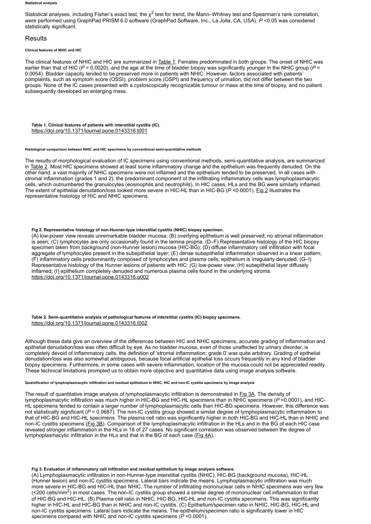#### **Statistical analysis**

Statistical analyses, including Fisher's exact test, the  $\chi^2$  test for trend, the Mann–Whitney test and Spearman's rank correlation, were performed using GraphPad PRISM 6.0 software (GraphPad Software, Inc., La Jolla, CA, USA). *P* <0.05 was considered statistically significant.

# **Results**

### **Clinical features of NHIC and HIC**

The clinical features of NHIC and HIC are summarized in [Table 1](#page-3-0). Females predominated in both groups. The onset of NHIC was earlier than that of HIC (*P* = 0.0020), and the age at the time of bladder biopsy was significantly younger in the NHIC group (*P* = 0.0054). Bladder capacity tended to be preserved more in patients with NHIC. However, factors associated with patients' complaints, such as symptom score (OSSI), problem score (OSPI) and frequency of urination, did not differ between the two groups. None of the IC cases presented with a cystoscopically recognizable tumour or mass at the time of biopsy, and no patient subsequently developed an enlarging mass.

<span id="page-3-0"></span>**Table 1. Clinical features of patients with interstitial cystitis (IC).** <https://doi.org/10.1371/journal.pone.0143316.t001>

#### **Histological comparison between NHIC and HIC specimens by conventional semi-quantitative methods**

The results of morphological evaluation of IC specimens using conventional methods, semi-quantitative analysis, are summarized in [Table 2](#page-3-1). Most HIC specimens showed at least some inflammatory change and the epithelium was frequently denuded. On the other hand, a vast majority of NHIC specimens were not inflamed and the epithelium tended to be preserved. In all cases with stromal inflammation (grades 1 and 2), the predominant component of the infiltrating inflammatory cells was lymphoplasmacytic cells, which outnumbered the granulocytes (eosinophils and neutrophils). In HIC cases, HLs and the BG were similarly inflamed. The extent of epithelial denudation/loss looked more severe in HIC-HL than in HIC-BG (*P* <0.0001). [Fig 2](#page-3-2) illustrates the representative histology of HIC and NHIC specimens.

#### <span id="page-3-2"></span>**Fig 2. Representative histology of non-Hunner-type interstitial cystitis (NHIC) biopsy specimen.**

(A) low-power view reveals unremarkable bladder mucosa; (B) overlying epithelium is well preserved; no stromal inflammation is seen; (C) lymphocytes are only occasionally found in the lamina propria. (D–F) Representative histology of the HIC biopsy specimen taken from background (non-Hunner lesion) mucosa (HIC-BG): (D) diffuse inflammatory cell infiltration with focal aggregate of lymphocytes present in the subepithelial layer; (E) dense subepithelial inflammation observed in a linear pattern; (F) inflammatory cells predominantly composed of lymphocytes and plasma cells; epithelium is irregularly denuded. (G–I) Representative histology of the Hunner lesions of patients with HIC: (G) low-power view; (H) subepithelial layer diffusely inflamed; (I) epithelium completely denuded and numerous plasma cells found in the underlying stroma. <https://doi.org/10.1371/journal.pone.0143316.g002>

### <span id="page-3-1"></span>**Table 2. Semi-quantitative analysis of pathological features of interstitial cystitis (IC) biopsy specimens.** <https://doi.org/10.1371/journal.pone.0143316.t002>

Although these data give an overview of the differences between HIC and NHIC specimens, accurate grading of inflammation and epithelial denudation/loss was often difficult by eye. As no bladder mucosa, even of those unaffected by urinary disorder, is completely devoid of inflammatory cells, the definition of 'stromal inflammation: grade 0' was quite arbitrary. Grading of epithelial denudation/loss was also somewhat ambiguous, because focal artificial epithelial loss occurs frequently in any kind of bladder biopsy specimens. Furthermore, in some cases with severe inflammation, location of the mucosa could not be appreciated readily. These technical limitations prompted us to obtain more objective and quantitative data using image analysis software.

#### **Quantification of lymphoplasmacytic infiltration and residual epithelium in NHIC, HIC and non-IC cystitis specimens by image analysis**

The result of quantitative image analysis of lymphoplasmacytic infiltration is demonstrated in [Fig 3A.](#page-3-3) The density of lymphoplasmacytic infiltration was much higher in HIC-BG and HIC-HL specimens than in NHIC specimens (*P* <0.0001), and HIC-HL specimens tended to contain a larger number of lymphoplasmacytic cells than HIC-BG specimens. However, this difference was not statistically significant (*P* = 0.0687). The non-IC cystitis group showed a similar degree of lymphoplasmacytic inflammation to that of HIC-BG and HIC-HL specimens. The plasma cell ratio was significantly higher in both HIC-BG and HIC-HL than in NHIC and non-IC cystitis specimens ([Fig 3B\)](#page-3-3). Comparison of the lymphoplasmacytic infiltration in the HLs and in the BG of each HIC case revealed stronger inflammation in the HLs in 18 of 27 cases. No significant correlation was observed between the degree of lymphoplasmacytic infiltration in the HLs and that in the BG of each case ( $Fig 4A$ ).

#### <span id="page-3-3"></span>**Fig 3. Evaluation of inflammatory cell infiltration and residual epithelium by image analysis software.**

(A) Lymphoplasmacytic infiltration in non-Hunner-type interstitial cystitis (NHIC), HIC-BG (background mucosa), HIC-HL (Hunner lesion) and non-IC cystitis specimens. Lateral bars indicate the means. Lymphoplasmacytic infiltration was much more severe in HIC-BG and HIC-HL than NHIC. The number of infiltrating mononuclear cells in NHIC specimens was very few  $\approx$  200 cells/mm<sup>2</sup>) in most cases. The non-IC cystitis group showed a similar degree of mononuclear cell inflammation to that of HIC-BG and HIC-HL. (B) Plasma cell ratio in NHIC, HIC-BG, HIC-HL and non-IC cystitis specimens. This was significantly higher in HIC-HL and HIC-BG than in NHIC and non-IC cystitis. (C) Epithelium/specimen ratio in NHIC, HIC-BG, HIC-HL and non-IC cystitis specimens. Lateral bars indicate the means. The epithelium/specimen ratio is significantly lower in HIC specimens compared with NHIC and non-IC cystitis specimens (*P* <0.0001).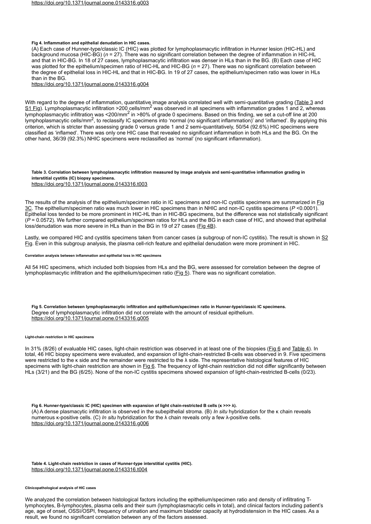#### <span id="page-4-0"></span>**Fig 4. Inflammation and epithelial denudation in HIC cases.**

(A) Each case of Hunner-type/classic IC (HIC) was plotted for lymphoplasmacytic infiltration in Hunner lesion (HIC-HL) and background mucosa (HIC-BG) (*n* = 27). There was no significant correlation between the degree of inflammation in HIC-HL and that in HIC-BG. In 18 of 27 cases, lymphoplasmacytic infiltration was denser in HLs than in the BG. (B) Each case of HIC was plotted for the epithelium/specimen ratio of HIC-HL and HIC-BG (*n* = 27). There was no significant correlation between the degree of epithelial loss in HIC-HL and that in HIC-BG. In 19 of 27 cases, the epithelium/specimen ratio was lower in HLs than in the BG.

<https://doi.org/10.1371/journal.pone.0143316.g004>

With regard to the degree of inflammation, quantitative image analysis correlated well with semi-quantitative grading [\(Table 3](#page-4-1) and  $S1$  Fig). Lymphoplasmacytic infiltration >200 cells/mm $^2$  was observed in all specimens with inflammation grades 1 and 2, whereas  $\overline{\phantom{a}}$  lymphoplasmacytic infiltration was <200/mm $^2$  in >80% of grade 0 specimens. Based on this finding, we set a cut-off line at 200  $^2$ lymphoplasmacytic cells/mm<sup>2</sup>, to reclassify IC specimens into 'normal (no significant inflammation)<sup>'</sup> and 'inflamed'. By applying this criterion, which is stricter than assessing grade 0 versus grade 1 and 2 semi-quantitatively, 50/54 (92.6%) HIC specimens were classified as 'inflamed'. There was only one HIC case that revealed no significant inflammation in both HLs and the BG. On the other hand, 36/39 (92.3%) NHIC specimens were reclassified as 'normal' (no significant inflammation).

# <span id="page-4-1"></span>**Table 3. Correlation between lymphoplasmacytic infiltration measured by image analysis and semi-quantitative inflammation grading in interstitial cystitis (IC) biopsy specimens.**

<https://doi.org/10.1371/journal.pone.0143316.t003>

[The results of the analysis of the epithelium/specimen ratio in IC specimens and non-IC cystitis specimens are summarized in Fig](#page-3-3) 3C. The epithelium/specimen ratio was much lower in HIC specimens than in NHIC and non-IC cystitis specimens (*P* <0.0001). Epithelial loss tended to be more prominent in HIC-HL than in HIC-BG specimens, but the difference was not statistically significant (*P* = 0.0572). We further compared epithelium/specimen ratios for HLs and the BG in each case of HIC, and showed that epithelial loss/denudation was more severe in HLs than in the BG in 19 of 27 cases ([Fig 4B\)](#page-4-0).

[Lastly, we compared HIC and cystitis specimens taken from cancer cases \(a subgroup of non-IC cystitis\). The result is shown in S2](#page-5-1) Fig. Even in this subgroup analysis, the plasma cell-rich feature and epithelial denudation were more prominent in HIC.

### **Correlation analysis between inflammation and epithelial loss in HIC specimens**

<span id="page-4-2"></span>All 54 HIC specimens, which included both biopsies from HLs and the BG, were assessed for correlation between the degree of lymphoplasmacytic infiltration and the epithelium/specimen ratio ([Fig 5](#page-4-2)). There was no significant correlation.

**Fig 5. Correlation between lymphoplasmacytic infiltration and epithelium/specimen ratio in Hunner-type/classic IC specimens.** Degree of lymphoplasmacytic infiltration did not correlate with the amount of residual epithelium. <https://doi.org/10.1371/journal.pone.0143316.g005>

#### **Light-chain restriction in HIC specimens**

In 31% (8/26) of evaluable HIC cases, light-chain restriction was observed in at least one of the biopsies ([Fig 6](#page-4-3) and [Table 4](#page-4-4)). In total, 46 HIC biopsy specimens were evaluated, and expansion of light-chain-restricted B-cells was observed in 9. Five specimens were restricted to the κ side and the remainder were restricted to the λ side. The representative histological features of HIC specimens with light-chain restriction are shown in [Fig 6.](#page-4-3) The frequency of light-chain restriction did not differ significantly between HLs (3/21) and the BG (6/25). None of the non-IC cystitis specimens showed expansion of light-chain-restricted B-cells (0/23).

<span id="page-4-3"></span>**Fig 6. Hunner-type/classic IC (HIC) specimen with expansion of light chain-restricted B cells (κ >>> λ).** (A) A dense plasmacytic infiltration is observed in the subepithelial stroma. (B) *In situ* hybridization for the κ chain reveals numerous κ-positive cells. (C) *In situ* hybridization for the λ chain reveals only a few λ-positive cells. <https://doi.org/10.1371/journal.pone.0143316.g006>

<span id="page-4-4"></span>**Table 4. Light-chain restriction in cases of Hunner-type interstitial cystitis (HIC).** <https://doi.org/10.1371/journal.pone.0143316.t004>

#### **Clinicopathological analysis of HIC cases**

We analyzed the correlation between histological factors including the epithelium/specimen ratio and density of infiltrating Tlymphocytes, B-lymphocytes, plasma cells and their sum (lymphoplasmacytic cells in total), and clinical factors including patient's age, age of onset, OSSI/OSPI, frequency of urination and maximum bladder capacity at hydrodistension in the HIC cases. As a result, we found no significant correlation between any of the factors assessed.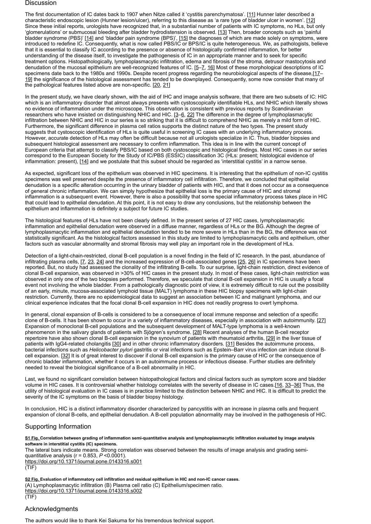## **Discussion**

The first documentation of IC dates back to 1907 when Nitze called it 'cystitis parenchymatosa'. [[11\]](#page-6-9) Hunner later described a characteristic endoscopic lesion (Hunner lesion/ulcer), referring to this disease as 'a rare type of bladder ulcer in women'. [[12\]](#page-6-10) Since these initial reports, urologists have recognized that, in a substantial number of patients with IC symptoms, no HLs, but only 'glomerulations' or submucosal bleeding after bladder hydrodistension is observed. [\[13\]](#page-6-11) Then, broader concepts such as 'painful bladder syndrome (PBS)' [[14\]](#page-6-12) and 'bladder pain syndrome (BPS)', [[15](#page-6-13)] the diagnoses of which are made solely on symptoms, were introduced to redefine IC. Consequently, what is now called PBS/IC or BPS/IC is quite heterogeneous. We, as pathologists, believe that it is essential to classify IC according to the presence or absence of histologically confirmed inflammation, for better understanding of the disease itself, to investigate the pathogenesis of IC in an appropriate manner and to seek for specific treatment options. Histopathologically, lymphoplasmacytic infiltration, edema and fibrosis of the stroma, detrusor mastocytosis and denudation of the mucosal epithelium are well-recognized features of IC. [[5](#page-6-3)-7, [16](#page-6-14)] Most of these morphological descriptions of IC specimens date back to the 1980s and 1990s. Despite recent progress regarding the neurobiological aspects of the disease,[[17–](#page-6-15) [19](#page-6-16)] the significance of the histological assessment has tended to be downplayed. Consequently, some now consider that many of the pathological features listed above are non-specific. [\[20,](#page-6-17) [21\]](#page-7-0)

In the present study, we have clearly shown, with the aid of IHC and image analysis software, that there are two subsets of IC: HIC which is an inflammatory disorder that almost always presents with cystoscopically identifiable HLs, and NHIC which literally shows no evidence of inflammation under the microscope. This observation is consistent with previous reports by Scandinavian researchers who have insisted on distinguishing NHIC and HIC. [\[3](#page-6-2)–[6,](#page-6-4) [22\]](#page-7-1) The difference in the degree of lymphoplasmacytic infiltration between NHIC and HIC in our series is so striking that it is difficult to comprehend NHIC as merely a mild form of HIC. Furthermore, the significant difference in plasma cell ratios supports the distinct nature of the two types. The present study suggests that cystoscopic identification of HLs is quite useful in screening IC cases with an underlying inflammatory process. However, accurate detection of HLs may often be difficult because not all urologists specialize in IC. Thus, bladder biopsies and subsequent histological assessment are necessary to confirm inflammation. This idea is in line with the current concept of European criteria that attempt to classify PBS/IC based on both cystoscopic and histological findings. Most HIC cases in our series correspond to the European Society for the Study of IC/PBS (ESSIC) classification 3C (HLs: present; histological evidence of inflammation: present), [\[14\]](#page-6-12) and we postulate that this subset should be regarded as 'interstitial cystitis' in a narrow sense.

As expected, significant loss of the epithelium was observed in HIC specimens. It is interesting that the epithelium of non-IC cystitis specimens was well preserved despite the presence of inflammatory cell infiltration. Therefore, we concluded that epithelial denudation is a specific alteration occurring in the urinary bladder of patients with HIC, and that it does not occur as a consequence of general chronic inflammation. We can simply hypothesize that epithelial loss is the primary cause of HIC and stromal inflammation is a subsequent event. However, there is also a possibility that some special inflammatory process takes place in HIC that could lead to epithelial denudation. At this point, it is not easy to draw any conclusions, but the relationship between the epithelium and inflammation is definitely a subject for future IC studies.

The histological features of HLs have not been clearly defined. In the present series of 27 HIC cases, lymphoplasmacytic inflammation and epithelial denudation were observed in a diffuse manner, regardless of HLs or the BG. Although the degree of lymphoplasmacytic inflammation and epithelial denudation tended to be more severe in HLs than in the BG, the difference was not statistically significant. As the histological factors assessed in this study are limited to lymphoplasmacytic cells and epithelium, other factors such as vascular abnormality and stromal fibrosis may well play an important role in the development of HLs.

Detection of a light-chain-restricted, clonal B-cell population is a novel finding in the field of IC research. In the past, abundance of infiltrating plasma cells, [[7,](#page-6-5) [23](#page-7-2), [24](#page-7-3)] and the increased expression of B-cell-associated genes [\[25,](#page-7-4) [26\]](#page-7-5) in IC specimens have been reported. But, no study had assessed the clonality of the infiltrating B-cells. To our surprise, light-chain restriction, direct evidence of clonal B-cell expansion, was observed in >30% of HIC cases in the present study. In most of these cases, light-chain restriction was observed in only one of the two biopsies performed. Therefore, we speculate that clonal B-cell expansion in HIC is usually a focal event not involving the whole bladder. From a pathologically diagnostic point of view, it is extremely difficult to rule out the possibility of an early, minute, mucosa-associated lymphoid tissue (MALT) lymphoma in these HIC biopsy specimens with light-chain restriction. Currently, there are no epidemiological data to suggest an association between IC and malignant lymphoma, and our clinical experience indicates that the focal clonal B-cell expansion in HIC does not readily progress to overt lymphoma.

In general, clonal expansion of B-cells is considered to be a consequence of local immune response and selection of a specific clone of B-cells. It has been shown to occur in a variety of inflammatory diseases, especially in association with autoimmunity. [[27](#page-7-6)] Expansion of monoclonal B-cell populations and the subsequent development of MALT-type lymphoma is a well-known phenomenon in the salivary glands of patients with Sjögren's syndrome. [[28](#page-7-7)] Recent analyses of the human B-cell receptor repertoire have also shown clonal B-cell expansion in the synovium of patients with rheumatoid arthritis, [[29](#page-7-8)] in the liver tissue of patients with IgG4-related cholangitis [[30\]](#page-7-9) and in other chronic inflammatory disorders. [[31](#page-7-10)] Besides the autoimmune process, bacterial infections such as *Helicobacter pylori* gastritis or viral infections such as Epstein–Barr virus infection can induce clonal Bcell expansion. [\[32\]](#page-7-11) It is of great interest to discover if clonal B-cell expansion is the primary cause of HIC or the consequence of chronic bladder inflammation, whether it occurs in an autoimmune process or infectious disease. Further studies are definitely needed to reveal the biological significance of a B-cell abnormality in HIC.

Last, we found no significant correlation between histopathological factors and clinical factors such as symptom score and bladder volume in HIC cases. It is controversial whether histology correlates with the severity of disease in IC cases.[[16](#page-6-14), [33](#page-7-12)–[36](#page-7-13)] Thus, the utility of histological evaluation in IC cases is in practice limited to the distinction between NHIC and HIC. It is difficult to predict the severity of the IC symptoms on the basis of bladder biopsy histology.

In conclusion, HIC is a distinct inflammatory disorder characterized by pancystitis with an increase in plasma cells and frequent expansion of clonal B-cells, and epithelial denudation. A B-cell population abnormality may be involved in the pathogenesis of HIC.

# Supporting Information

<span id="page-5-0"></span>**[S1 Fig. C](https://journals.plos.org/plosone/article/file?type=supplementary&id=info:doi/10.1371/journal.pone.0143316.s001)orrelation between grading of inflammation semi-quantitative analysis and lymphoplasmacytic infiltration evaluated by image analysis software in interstitial cystitis (IC) specimens.**

The lateral bars indicate means. Strong correlation was observed between the results of image analysis and grading semiquantitative analysis (r = 0.853, *P* <0.0001).

<https://doi.org/10.1371/journal.pone.0143316.s001> (TIF)

<span id="page-5-1"></span>**[S2 Fig. E](https://journals.plos.org/plosone/article/file?type=supplementary&id=info:doi/10.1371/journal.pone.0143316.s002)valuation of inflammatory cell infiltration and residual epithelium in HIC and non-IC cancer cases.** (A) Lymphoplasmacytic infiltration (B) Plasma cell ratio (C) Epithelium/specimen ratio. <https://doi.org/10.1371/journal.pone.0143316.s002> (TIF)

# Acknowledgments

The authors would like to thank Kei Sakuma for his tremendous technical support.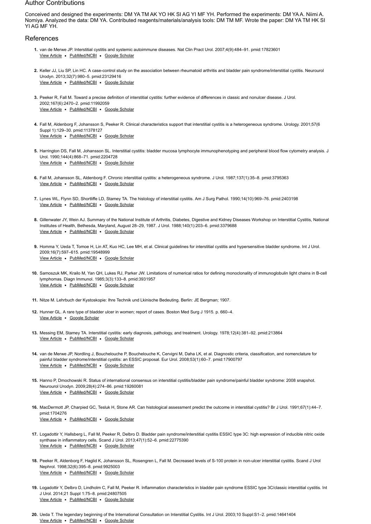# Author Contributions

Conceived and designed the experiments: DM YA TM AK YO HK SI AG YI MF YH. Performed the experiments: DM YA A. Niimi A. Nomiya. Analyzed the data: DM YA. Contributed reagents/materials/analysis tools: DM TM MF. Wrote the paper: DM YA TM HK SI YI AG MF YH.

# References

- <span id="page-6-0"></span>**1.** van de Merwe JP. Interstitial cystitis and systemic autoimmune diseases. Nat Clin Pract Urol. 2007;4(9):484–91. pmid:17823601 View Article . [PubMed/NCBI](http://www.ncbi.nlm.nih.gov/pubmed/17823601) . [Google Scholar](http://scholar.google.com/scholar?q=Interstitial+cystitis+and+systemic+autoimmune+diseases+van+de+Merwe+2007)
- <span id="page-6-1"></span>**2.** Keller JJ, Liu SP, Lin HC. A case-control study on the association between rheumatoid arthritis and bladder pain syndrome/interstitial cystitis. Neurourol [View Article](https://doi.org/10.1002/nau.22348) . [PubMed/NCBI](http://www.ncbi.nlm.nih.gov/pubmed/23129416) . [Google Scholar](http://scholar.google.com/scholar?q=A+case-control+study+on+the+association+between+rheumatoid+arthritis+and+bladder+pain+syndrome%2Finterstitial+cystitis+Keller+2013) Urodyn. 2013;32(7):980–5. pmid:23129416
- <span id="page-6-2"></span>**3.** Peeker R, Fall M. Toward a precise definition of interstitial cystitis: further evidence of differences in classic and nonulcer disease. J Urol. View Article · [PubMed/NCBI](http://www.ncbi.nlm.nih.gov/pubmed/11992059) · [Google Scholar](http://scholar.google.com/scholar?q=Toward+a+precise+definition+of+interstitial+cystitis%3A+further+evidence+of+differences+in+classic+and+nonulcer+disease+Peeker+2002) 2002;167(6):2470–2. pmid:11992059
- **4.** Fall M, Aldenborg F, Johansson S, Peeker R. Clinical characteristics support that interstitial cystitis is a heterogeneous syndrome. Urology. 2001;57(6 View Article . [PubMed/NCBI](http://www.ncbi.nlm.nih.gov/pubmed/11378127) . [Google Scholar](http://scholar.google.com/scholar?q=Clinical+characteristics+support+that+interstitial+cystitis+is+a+heterogeneous+syndrome+Fall+2001) Suppl 1):129–30. pmid:11378127
- <span id="page-6-3"></span>**5.** Harrington DS, Fall M, Johansson SL. Interstitial cystitis: bladder mucosa lymphocyte immunophenotyping and peripheral blood flow cytometry analysis. J View Article . [PubMed/NCBI](http://www.ncbi.nlm.nih.gov/pubmed/2204728) . [Google Scholar](http://scholar.google.com/scholar?q=Interstitial+cystitis%3A+bladder+mucosa+lymphocyte+immunophenotyping+and+peripheral+blood+flow+cytometry+analysis+Harrington+1990) Urol. 1990;144(4):868–71. pmid:2204728
- <span id="page-6-4"></span>**6.** Fall M, Johansson SL, Aldenborg F. Chronic interstitial cystitis: a heterogeneous syndrome. J Urol. 1987;137(1):35–8. pmid:3795363 View Article . [PubMed/NCBI](http://www.ncbi.nlm.nih.gov/pubmed/3795363) . [Google Scholar](http://scholar.google.com/scholar?q=Chronic+interstitial+cystitis%3A+a+heterogeneous+syndrome+Fall+1987)
- <span id="page-6-5"></span>**7.** Lynes WL, Flynn SD, Shortliffe LD, Stamey TA. The histology of interstitial cystitis. Am J Surg Pathol. 1990;14(10):969–76. pmid:2403198 View Article . [PubMed/NCBI](http://www.ncbi.nlm.nih.gov/pubmed/2403198) . [Google Scholar](http://scholar.google.com/scholar?q=The+histology+of+interstitial+cystitis+Lynes+1990)
- <span id="page-6-6"></span>**8.** Gillenwater JY, Wein AJ. Summary of the National Institute of Arthritis, Diabetes, Digestive and Kidney Diseases Workshop on Interstitial Cystitis, National View Article · [PubMed/NCBI](http://www.ncbi.nlm.nih.gov/pubmed/3379688) · [Google Scholar](http://scholar.google.com/scholar?q=Summary+of+the+National+Institute+of+Arthritis%2C+Diabetes%2C+Digestive+and+Kidney+Diseases+Workshop+on+Interstitial+Cystitis%2C+National+Institutes+of+Health%2C+Bethesda%2C+Maryland%2C+August+28%E2%80%9329%2C+1987+Gillenwater+1988) Institutes of Health, Bethesda, Maryland, August 28–29, 1987. J Urol. 1988;140(1):203–6. pmid:3379688
- <span id="page-6-7"></span>**9.** Homma Y, Ueda T, Tomoe H, Lin AT, Kuo HC, Lee MH, et al. Clinical guidelines for interstitial cystitis and hypersensitive bladder syndrome. Int J Urol. [View Article](https://doi.org/10.1111/j.1442-2042.2009.02326.x) · [PubMed/NCBI](http://www.ncbi.nlm.nih.gov/pubmed/19548999) · [Google Scholar](http://scholar.google.com/scholar?q=Clinical+guidelines+for+interstitial+cystitis+and+hypersensitive+bladder+syndrome+Homma+2009) 2009;16(7):597–615. pmid:19548999
- <span id="page-6-8"></span>**10.** Samoszuk MK, Krailo M, Yan QH, Lukes RJ, Parker JW. Limitations of numerical ratios for defining monoclonality of immunoglobulin light chains in B-cell View Article . [PubMed/NCBI](http://www.ncbi.nlm.nih.gov/pubmed/3931957) . [Google Scholar](http://scholar.google.com/scholar?q=Limitations+of+numerical+ratios+for+defining+monoclonality+of+immunoglobulin+light+chains+in+B-cell+lymphomas+Samoszuk+1985) lymphomas. Diagn Immunol. 1985;3(3):133–8. pmid:3931957
- <span id="page-6-9"></span>**11.** Nitze M. Lehrbuch der Kystoskopie: Ihre Technik und Lkinische Bedeuting. Berlin: JE Bergman; 1907.
- <span id="page-6-10"></span>**12.** Hunner GL. A rare type of bladder ulcer in women; report of cases. Boston Med Surg J 1915. p. 660–4. View Article . [Google Scholar](http://scholar.google.com/scholar?q=A+rare+type+of+bladder+ulcer+in+women%3B+report+of+cases+Hunner+1915)
- <span id="page-6-11"></span>**13.** Messing EM, Stamey TA. Interstitial cystitis: early diagnosis, pathology, and treatment. Urology. 1978;12(4):381–92. pmid:213864 View Article . [PubMed/NCBI](http://www.ncbi.nlm.nih.gov/pubmed/213864) . [Google Scholar](http://scholar.google.com/scholar?q=Interstitial+cystitis%3A+early+diagnosis%2C+pathology%2C+and+treatment+Messing+1978)
- <span id="page-6-12"></span>**14.** van de Merwe JP, Nordling J, Bouchelouche P, Bouchelouche K, Cervigni M, Daha LK, et al. Diagnostic criteria, classification, and nomenclature for View Article . [PubMed/NCBI](http://www.ncbi.nlm.nih.gov/pubmed/17900797) . [Google Scholar](http://scholar.google.com/scholar?q=Diagnostic+criteria%2C+classification%2C+and+nomenclature+for+painful+bladder+syndrome%2Finterstitial+cystitis%3A+an+ESSIC+proposal+van+de+Merwe+2008) painful bladder syndrome/interstitial cystitis: an ESSIC proposal. Eur Urol. 2008;53(1):60–7. pmid:17900797
- <span id="page-6-13"></span>**15.** Hanno P, Dmochowski R. Status of international consensus on interstitial cystitis/bladder pain syndrome/painful bladder syndrome: 2008 snapshot. [View Article](https://doi.org/10.1002/nau.20687) . [PubMed/NCBI](http://www.ncbi.nlm.nih.gov/pubmed/19260081) . [Google Scholar](http://scholar.google.com/scholar?q=Status+of+international+consensus+on+interstitial+cystitis%2Fbladder+pain+syndrome%2Fpainful+bladder+syndrome%3A+2008+snapshot+Hanno+2009) Neurourol Urodyn. 2009;28(4):274–86. pmid:19260081
- <span id="page-6-14"></span>**16.** MacDermott JP, Charpied GC, Tesluk H, Stone AR. Can histological assessment predict the outcome in interstitial cystitis? Br J Urol. 1991;67(1):44–7. View Article . [PubMed/NCBI](http://www.ncbi.nlm.nih.gov/pubmed/1704276) . [Google Scholar](http://scholar.google.com/scholar?q=Can+histological+assessment+predict+the+outcome+in+interstitial+cystitis%3F+MacDermott+1991) pmid:1704276
- <span id="page-6-15"></span>**17.** Logadottir Y, Hallsberg L, Fall M, Peeker R, Delbro D. Bladder pain syndrome/interstitial cystitis ESSIC type 3C: high expression of inducible nitric oxide [View Article](https://doi.org/10.3109/00365599.2012.699100) • [PubMed/NCBI](http://www.ncbi.nlm.nih.gov/pubmed/22775390) • [Google Scholar](http://scholar.google.com/scholar?q=Bladder+pain+syndrome%2Finterstitial+cystitis+ESSIC+type+3C%3A+high+expression+of+inducible+nitric+oxide+synthase+in+inflammatory+cells+Logadottir+2013) synthase in inflammatory cells. Scand J Urol. 2013;47(1):52–6. pmid:22775390
- **18.** Peeker R, Aldenborg F, Haglid K, Johansson SL, Rosengren L, Fall M. Decreased levels of S-100 protein in non-ulcer interstitial cystitis. Scand J Urol View Article . [PubMed/NCBI](http://www.ncbi.nlm.nih.gov/pubmed/9925003) . [Google Scholar](http://scholar.google.com/scholar?q=Decreased+levels+of+S-100+protein+in+non-ulcer+interstitial+cystitis+Peeker+1998) Nephrol. 1998;32(6):395–8. pmid:9925003
- <span id="page-6-16"></span>**19.** Logadottir Y, Delbro D, Lindholm C, Fall M, Peeker R. Inflammation characteristics in bladder pain syndrome ESSIC type 3C/classic interstitial cystitis. Int [View Article](https://doi.org/10.1111/iju.12370) . [PubMed/NCBI](http://www.ncbi.nlm.nih.gov/pubmed/24807505) . [Google Scholar](http://scholar.google.com/scholar?q=Inflammation+characteristics+in+bladder+pain+syndrome+ESSIC+type+3C%2Fclassic+interstitial+cystitis+Logadottir+2014) J Urol. 2014;21 Suppl 1:75–8. pmid:24807505
- <span id="page-6-17"></span>**20.** Ueda T. The legendary beginning of the International Consultation on Interstitial Cystitis. Int J Urol. 2003;10 Suppl:S1–2. pmid:14641404View Article • [PubMed/NCBI](http://www.ncbi.nlm.nih.gov/pubmed/14641404) • [Google Scholar](http://scholar.google.com/scholar?q=The+legendary+beginning+of+the+International+Consultation+on+Interstitial+Cystitis+Ueda+2003)